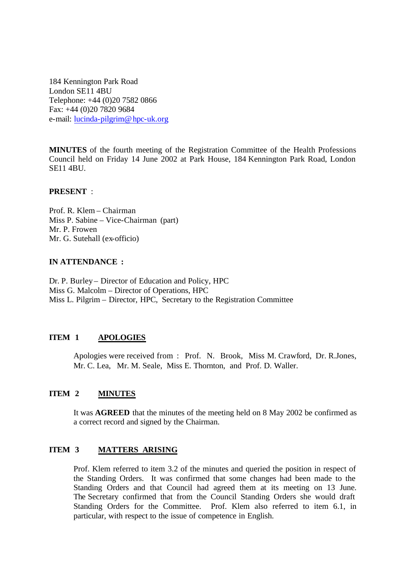184 Kennington Park Road London SE11 4BU Telephone: +44 (0)20 7582 0866 Fax: +44 (0)20 7820 9684 e-mail: lucinda-pilgrim@hpc-uk.org

**MINUTES** of the fourth meeting of the Registration Committee of the Health Professions Council held on Friday 14 June 2002 at Park House, 184 Kennington Park Road, London SE11 4BU.

#### **PRESENT** :

Prof. R. Klem – Chairman Miss P. Sabine – Vice-Chairman (part) Mr. P. Frowen Mr. G. Sutehall (ex-officio)

#### **IN ATTENDANCE :**

Dr. P. Burley – Director of Education and Policy, HPC Miss G. Malcolm – Director of Operations, HPC Miss L. Pilgrim – Director, HPC, Secretary to the Registration Committee

#### **ITEM 1 APOLOGIES**

Apologies were received from : Prof. N. Brook, Miss M. Crawford, Dr. R.Jones, Mr. C. Lea, Mr. M. Seale, Miss E. Thornton, and Prof. D. Waller.

#### **ITEM 2 MINUTES**

It was **AGREED** that the minutes of the meeting held on 8 May 2002 be confirmed as a correct record and signed by the Chairman.

#### **ITEM 3 MATTERS ARISING**

Prof. Klem referred to item 3.2 of the minutes and queried the position in respect of the Standing Orders. It was confirmed that some changes had been made to the Standing Orders and that Council had agreed them at its meeting on 13 June. The Secretary confirmed that from the Council Standing Orders she would draft Standing Orders for the Committee. Prof. Klem also referred to item 6.1, in particular, with respect to the issue of competence in English.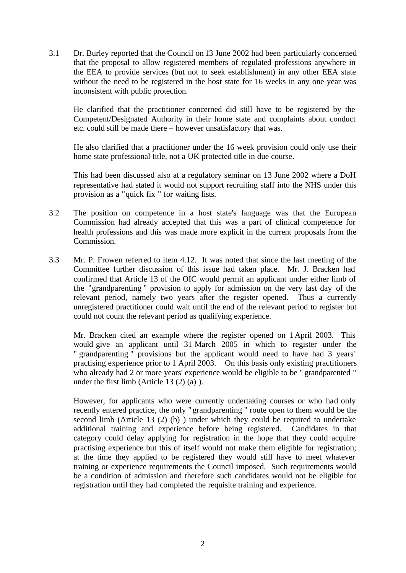3.1 Dr. Burley reported that the Council on 13 June 2002 had been particularly concerned that the proposal to allow registered members of regulated professions anywhere in the EEA to provide services (but not to seek establishment) in any other EEA state without the need to be registered in the host state for 16 weeks in any one year was inconsistent with public protection.

He clarified that the practitioner concerned did still have to be registered by the Competent/Designated Authority in their home state and complaints about conduct etc. could still be made there – however unsatisfactory that was.

He also clarified that a practitioner under the 16 week provision could only use their home state professional title, not a UK protected title in due course.

This had been discussed also at a regulatory seminar on 13 June 2002 where a DoH representative had stated it would not support recruiting staff into the NHS under this provision as a "quick fix " for waiting lists.

- 3.2 The position on competence in a host state's language was that the European Commission had already accepted that this was a part of clinical competence for health professions and this was made more explicit in the current proposals from the Commission.
- 3.3 Mr. P. Frowen referred to item 4.12. It was noted that since the last meeting of the Committee further discussion of this issue had taken place. Mr. J. Bracken had confirmed that Article 13 of the OIC would permit an applicant under either limb of the "grandparenting " provision to apply for admission on the very last day of the relevant period, namely two years after the register opened. Thus a currently unregistered practitioner could wait until the end of the relevant period to register but could not count the relevant period as qualifying experience.

Mr. Bracken cited an example where the register opened on 1April 2003. This would give an applicant until 31 March 2005 in which to register under the " grandparenting " provisions but the applicant would need to have had 3 years' practising experience prior to 1 April 2003. On this basis only existing practitioners who already had 2 or more years' experience would be eligible to be " grandparented " under the first limb (Article 13 (2) (a) ).

However, for applicants who were currently undertaking courses or who had only recently entered practice, the only " grandparenting " route open to them would be the second limb (Article 13 (2) (b) ) under which they could be required to undertake additional training and experience before being registered. Candidates in that category could delay applying for registration in the hope that they could acquire practising experience but this of itself would not make them eligible for registration; at the time they applied to be registered they would still have to meet whatever training or experience requirements the Council imposed. Such requirements would be a condition of admission and therefore such candidates would not be eligible for registration until they had completed the requisite training and experience.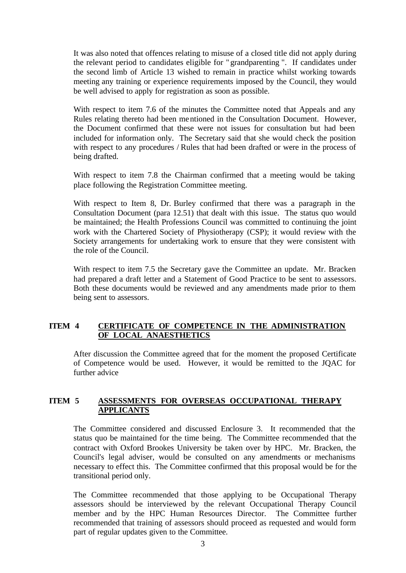It was also noted that offences relating to misuse of a closed title did not apply during the relevant period to candidates eligible for " grandparenting ". If candidates under the second limb of Article 13 wished to remain in practice whilst working towards meeting any training or experience requirements imposed by the Council, they would be well advised to apply for registration as soon as possible.

With respect to item 7.6 of the minutes the Committee noted that Appeals and any Rules relating thereto had been mentioned in the Consultation Document. However, the Document confirmed that these were not issues for consultation but had been included for information only. The Secretary said that she would check the position with respect to any procedures / Rules that had been drafted or were in the process of being drafted.

With respect to item 7.8 the Chairman confirmed that a meeting would be taking place following the Registration Committee meeting.

With respect to Item 8, Dr. Burley confirmed that there was a paragraph in the Consultation Document (para 12.51) that dealt with this issue. The status quo would be maintained; the Health Professions Council was committed to continuing the joint work with the Chartered Society of Physiotherapy (CSP); it would review with the Society arrangements for undertaking work to ensure that they were consistent with the role of the Council.

With respect to item 7.5 the Secretary gave the Committee an update. Mr. Bracken had prepared a draft letter and a Statement of Good Practice to be sent to assessors. Both these documents would be reviewed and any amendments made prior to them being sent to assessors.

### **ITEM 4 CERTIFICATE OF COMPETENCE IN THE ADMINISTRATION OF LOCAL ANAESTHETICS**

After discussion the Committee agreed that for the moment the proposed Certificate of Competence would be used. However, it would be remitted to the JQAC for further advice

# **ITEM 5 ASSESSMENTS FOR OVERSEAS OCCUPATIONAL THERAPY APPLICANTS**

The Committee considered and discussed Enclosure 3. It recommended that the status quo be maintained for the time being. The Committee recommended that the contract with Oxford Brookes University be taken over by HPC. Mr. Bracken, the Council's legal adviser, would be consulted on any amendments or mechanisms necessary to effect this. The Committee confirmed that this proposal would be for the transitional period only.

The Committee recommended that those applying to be Occupational Therapy assessors should be interviewed by the relevant Occupational Therapy Council member and by the HPC Human Resources Director. The Committee further recommended that training of assessors should proceed as requested and would form part of regular updates given to the Committee.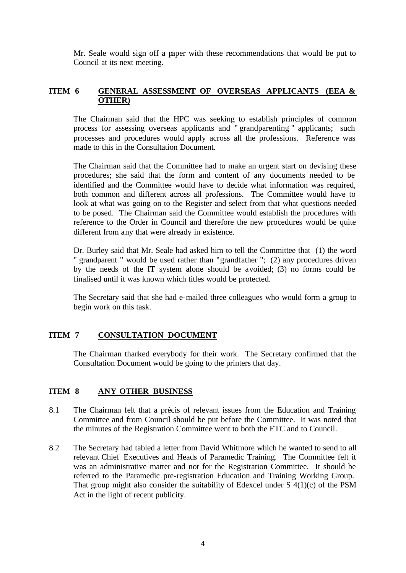Mr. Seale would sign off a paper with these recommendations that would be put to Council at its next meeting.

# **ITEM 6 GENERAL ASSESSMENT OF OVERSEAS APPLICANTS (EEA & OTHER)**

The Chairman said that the HPC was seeking to establish principles of common process for assessing overseas applicants and " grandparenting " applicants; such processes and procedures would apply across all the professions. Reference was made to this in the Consultation Document.

The Chairman said that the Committee had to make an urgent start on devising these procedures; she said that the form and content of any documents needed to be identified and the Committee would have to decide what information was required, both common and different across all professions. The Committee would have to look at what was going on to the Register and select from that what questions needed to be posed. The Chairman said the Committee would establish the procedures with reference to the Order in Council and therefore the new procedures would be quite different from any that were already in existence.

Dr. Burley said that Mr. Seale had asked him to tell the Committee that (1) the word " grandparent " would be used rather than "grandfather "; (2) any procedures driven by the needs of the IT system alone should be avoided; (3) no forms could be finalised until it was known which titles would be protected.

The Secretary said that she had e-mailed three colleagues who would form a group to begin work on this task.

# **ITEM 7 CONSULTATION DOCUMENT**

The Chairman thanked everybody for their work. The Secretary confirmed that the Consultation Document would be going to the printers that day.

# **ITEM 8 ANY OTHER BUSINESS**

- 8.1 The Chairman felt that a précis of relevant issues from the Education and Training Committee and from Council should be put before the Committee. It was noted that the minutes of the Registration Committee went to both the ETC and to Council.
- 8.2 The Secretary had tabled a letter from David Whitmore which he wanted to send to all relevant Chief Executives and Heads of Paramedic Training. The Committee felt it was an administrative matter and not for the Registration Committee. It should be referred to the Paramedic pre-registration Education and Training Working Group. That group might also consider the suitability of Edexcel under S 4(1)(c) of the PSM Act in the light of recent publicity.